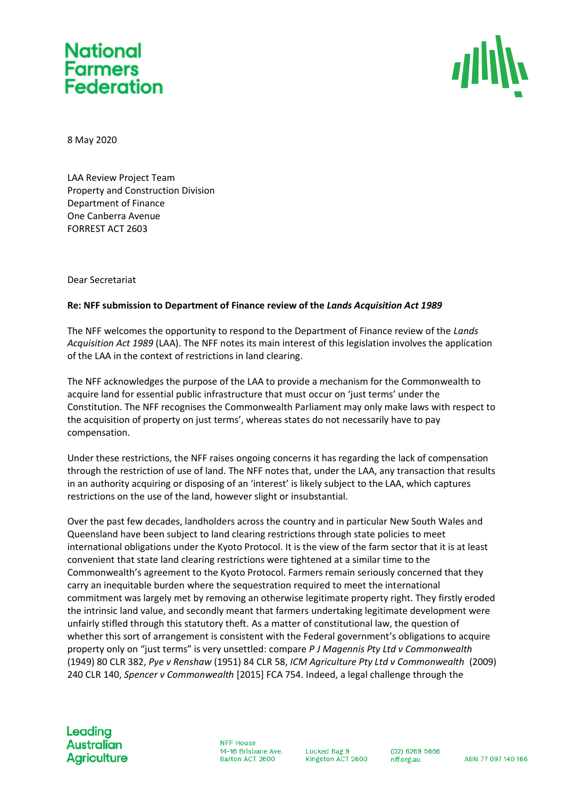## **National Farmers Federation**



8 May 2020

LAA Review Project Team Property and Construction Division Department of Finance One Canberra Avenue FORREST ACT 2603

Dear Secretariat

## **Re: NFF submission to Department of Finance review of the** *Lands Acquisition Act 1989*

The NFF welcomes the opportunity to respond to the Department of Finance review of the *Lands Acquisition Act 1989* (LAA). The NFF notes its main interest of this legislation involves the application of the LAA in the context of restrictions in land clearing.

The NFF acknowledges the purpose of the LAA to provide a mechanism for the Commonwealth to acquire land for essential public infrastructure that must occur on 'just terms' under the Constitution. The NFF recognises the Commonwealth Parliament may only make laws with respect to the acquisition of property on just terms', whereas states do not necessarily have to pay compensation.

Under these restrictions, the NFF raises ongoing concerns it has regarding the lack of compensation through the restriction of use of land. The NFF notes that, under the LAA, any transaction that results in an authority acquiring or disposing of an 'interest' is likely subject to the LAA, which captures restrictions on the use of the land, however slight or insubstantial.

Over the past few decades, landholders across the country and in particular New South Wales and Queensland have been subject to land clearing restrictions through state policies to meet international obligations under the Kyoto Protocol. It is the view of the farm sector that it is at least convenient that state land clearing restrictions were tightened at a similar time to the Commonwealth's agreement to the Kyoto Protocol. Farmers remain seriously concerned that they carry an inequitable burden where the sequestration required to meet the international commitment was largely met by removing an otherwise legitimate property right. They firstly eroded the intrinsic land value, and secondly meant that farmers undertaking legitimate development were unfairly stifled through this statutory theft. As a matter of constitutional law, the question of whether this sort of arrangement is consistent with the Federal government's obligations to acquire property only on "just terms" is very unsettled: compare *P J Magennis Pty Ltd v Commonwealth* (1949) 80 CLR 382, *Pye v Renshaw* (1951) 84 CLR 58, *ICM Agriculture Pty Ltd v Commonwealth* (2009) 240 CLR 140, *Spencer v Commonwealth* [2015] FCA 754. Indeed, a legal challenge through the

**NFF House** 14-16 Brisbane Ave. Barton ACT 2600

Locked Bag 9 Kingston ACT 2600

 $(02)$  6269 5666 nff.org.au